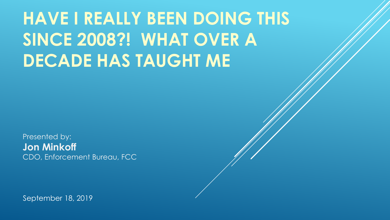# **HAVE I REALLY BEEN DOING THIS SINCE 2008?! WHAT OVER A DECADE HAS TAUGHT ME**

Presented by: **Jon Minkoff** CDO, Enforcement Bureau, FCC

September 18, 2019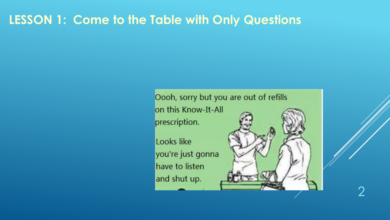#### **LESSON 1: Come to the Table with Only Questions**



2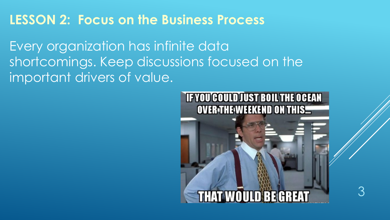#### **LESSON 2: Focus on the Business Process**

Every organization has infinite data shortcomings. Keep discussions focused on the important drivers of value.

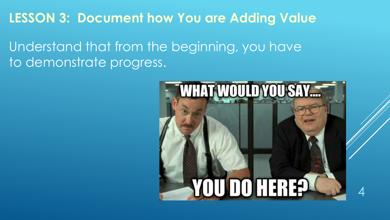**LESSON 3: Document how You are Adding Value**

Understand that from the beginning, you have to demonstrate progress.



4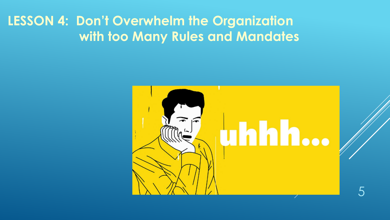## **LESSON 4: Don't Overwhelm the Organization with too Many Rules and Mandates**

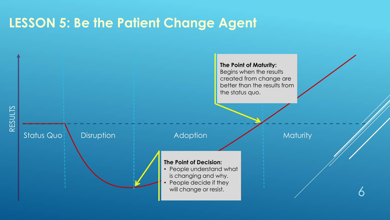## **LESSON 5: Be the Patient Change Agent**

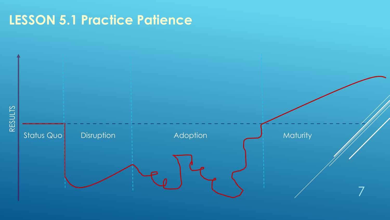## **LESSON 5.1 Practice Patience**

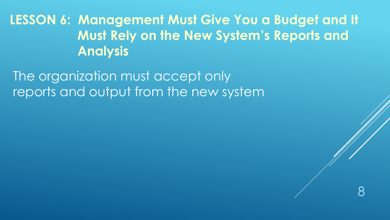**LESSON 6: Management Must Give You a Budget and It Must Rely on the New System's Reports and Analysis**

8

The organization must accept only reports and output from the new system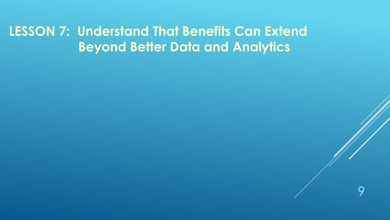## **LESSON 7: Understand That Benefits Can Extend Beyond Better Data and Analytics**

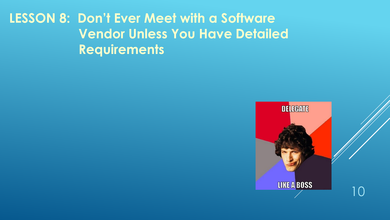## **LESSON 8: Don't Ever Meet with a Software Vendor Unless You Have Detailed Requirements**

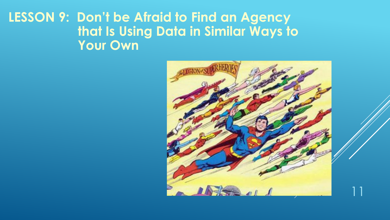#### **LESSON 9: Don't be Afraid to Find an Agency that Is Using Data in Similar Ways to Your Own**